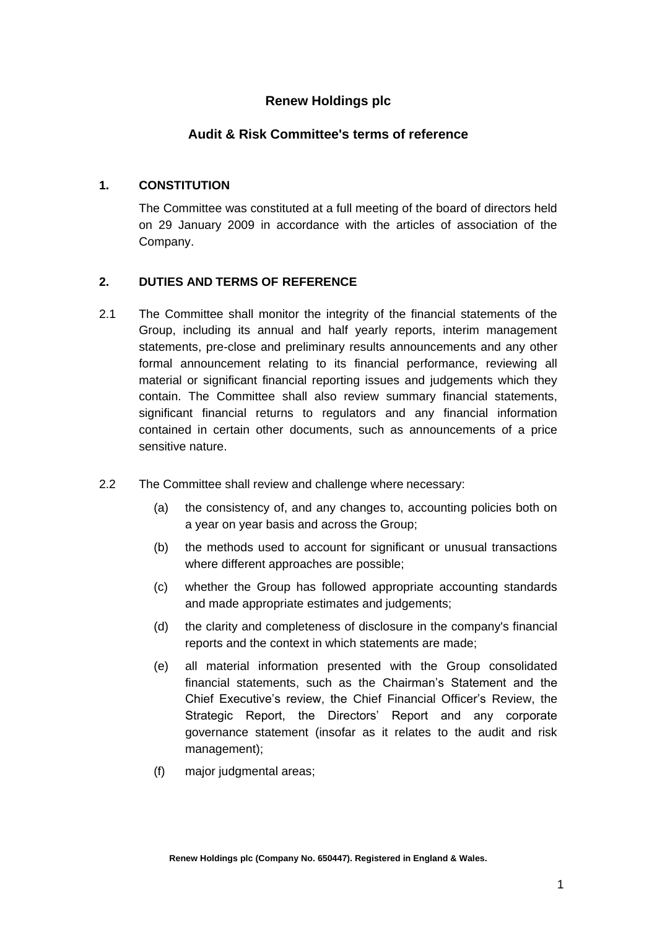# **Renew Holdings plc**

# **Audit & Risk Committee's terms of reference**

## **1. CONSTITUTION**

The Committee was constituted at a full meeting of the board of directors held on 29 January 2009 in accordance with the articles of association of the Company.

### **2. DUTIES AND TERMS OF REFERENCE**

- 2.1 The Committee shall monitor the integrity of the financial statements of the Group, including its annual and half yearly reports, interim management statements, pre-close and preliminary results announcements and any other formal announcement relating to its financial performance, reviewing all material or significant financial reporting issues and judgements which they contain. The Committee shall also review summary financial statements, significant financial returns to regulators and any financial information contained in certain other documents, such as announcements of a price sensitive nature.
- 2.2 The Committee shall review and challenge where necessary:
	- (a) the consistency of, and any changes to, accounting policies both on a year on year basis and across the Group;
	- (b) the methods used to account for significant or unusual transactions where different approaches are possible;
	- (c) whether the Group has followed appropriate accounting standards and made appropriate estimates and judgements;
	- (d) the clarity and completeness of disclosure in the company's financial reports and the context in which statements are made;
	- (e) all material information presented with the Group consolidated financial statements, such as the Chairman's Statement and the Chief Executive's review, the Chief Financial Officer's Review, the Strategic Report, the Directors' Report and any corporate governance statement (insofar as it relates to the audit and risk management);
	- (f) major judgmental areas;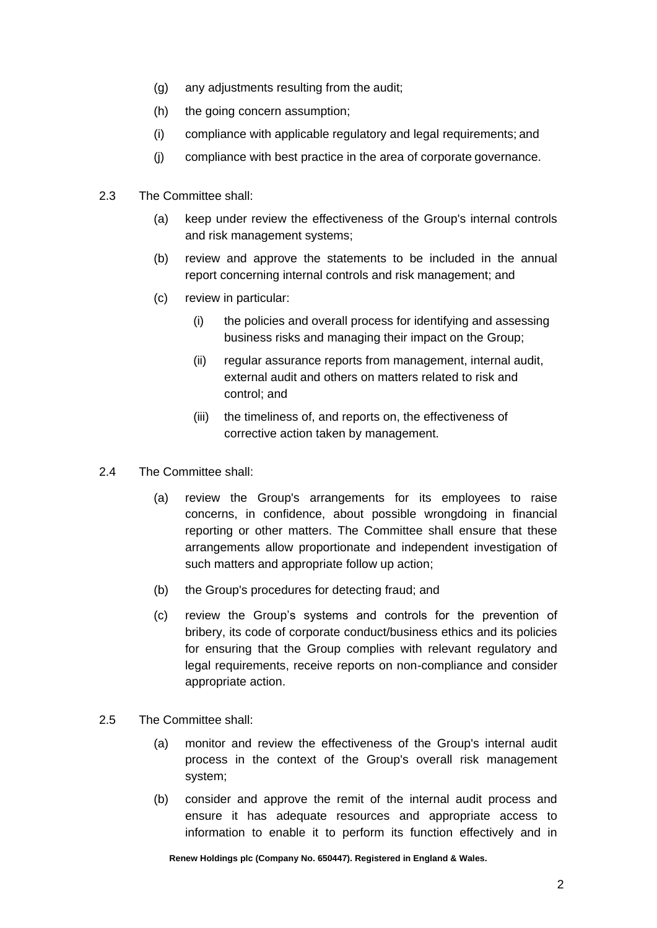- (g) any adjustments resulting from the audit;
- (h) the going concern assumption;
- (i) compliance with applicable regulatory and legal requirements; and
- (j) compliance with best practice in the area of corporate governance.
- 2.3 The Committee shall:
	- (a) keep under review the effectiveness of the Group's internal controls and risk management systems;
	- (b) review and approve the statements to be included in the annual report concerning internal controls and risk management; and
	- (c) review in particular:
		- (i) the policies and overall process for identifying and assessing business risks and managing their impact on the Group;
		- (ii) regular assurance reports from management, internal audit, external audit and others on matters related to risk and control; and
		- (iii) the timeliness of, and reports on, the effectiveness of corrective action taken by management.
- 2.4 The Committee shall:
	- (a) review the Group's arrangements for its employees to raise concerns, in confidence, about possible wrongdoing in financial reporting or other matters. The Committee shall ensure that these arrangements allow proportionate and independent investigation of such matters and appropriate follow up action;
	- (b) the Group's procedures for detecting fraud; and
	- (c) review the Group's systems and controls for the prevention of bribery, its code of corporate conduct/business ethics and its policies for ensuring that the Group complies with relevant regulatory and legal requirements, receive reports on non-compliance and consider appropriate action.
- 2.5 The Committee shall:
	- (a) monitor and review the effectiveness of the Group's internal audit process in the context of the Group's overall risk management system;
	- (b) consider and approve the remit of the internal audit process and ensure it has adequate resources and appropriate access to information to enable it to perform its function effectively and in

**Renew Holdings plc (Company No. 650447). Registered in England & Wales.**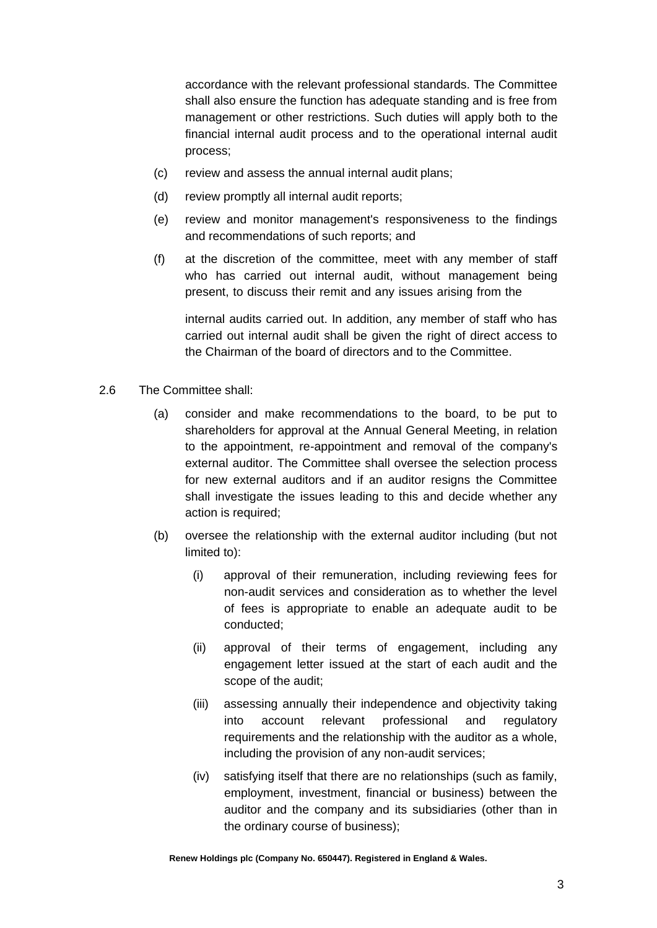accordance with the relevant professional standards. The Committee shall also ensure the function has adequate standing and is free from management or other restrictions. Such duties will apply both to the financial internal audit process and to the operational internal audit process;

- (c) review and assess the annual internal audit plans;
- (d) review promptly all internal audit reports;
- (e) review and monitor management's responsiveness to the findings and recommendations of such reports; and
- (f) at the discretion of the committee, meet with any member of staff who has carried out internal audit, without management being present, to discuss their remit and any issues arising from the

internal audits carried out. In addition, any member of staff who has carried out internal audit shall be given the right of direct access to the Chairman of the board of directors and to the Committee.

- 2.6 The Committee shall:
	- (a) consider and make recommendations to the board, to be put to shareholders for approval at the Annual General Meeting, in relation to the appointment, re-appointment and removal of the company's external auditor. The Committee shall oversee the selection process for new external auditors and if an auditor resigns the Committee shall investigate the issues leading to this and decide whether any action is required;
	- (b) oversee the relationship with the external auditor including (but not limited to):
		- (i) approval of their remuneration, including reviewing fees for non-audit services and consideration as to whether the level of fees is appropriate to enable an adequate audit to be conducted;
		- (ii) approval of their terms of engagement, including any engagement letter issued at the start of each audit and the scope of the audit;
		- (iii) assessing annually their independence and objectivity taking into account relevant professional and regulatory requirements and the relationship with the auditor as a whole, including the provision of any non-audit services;
		- (iv) satisfying itself that there are no relationships (such as family, employment, investment, financial or business) between the auditor and the company and its subsidiaries (other than in the ordinary course of business);

**Renew Holdings plc (Company No. 650447). Registered in England & Wales.**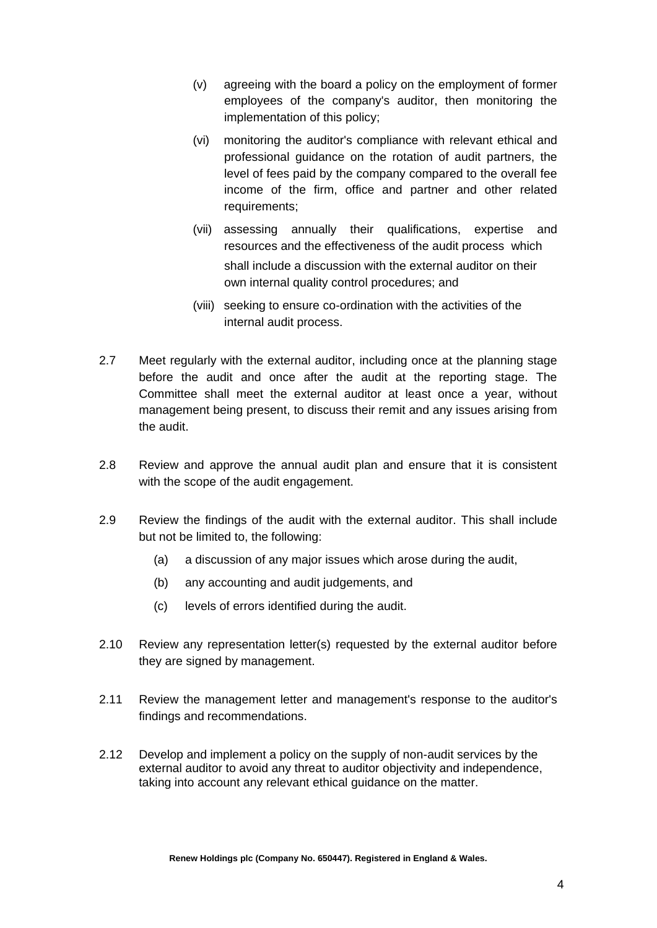- (v) agreeing with the board a policy on the employment of former employees of the company's auditor, then monitoring the implementation of this policy;
- (vi) monitoring the auditor's compliance with relevant ethical and professional guidance on the rotation of audit partners, the level of fees paid by the company compared to the overall fee income of the firm, office and partner and other related requirements;
- (vii) assessing annually their qualifications, expertise and resources and the effectiveness of the audit process which shall include a discussion with the external auditor on their own internal quality control procedures; and
- (viii) seeking to ensure co-ordination with the activities of the internal audit process.
- 2.7 Meet regularly with the external auditor, including once at the planning stage before the audit and once after the audit at the reporting stage. The Committee shall meet the external auditor at least once a year, without management being present, to discuss their remit and any issues arising from the audit.
- 2.8 Review and approve the annual audit plan and ensure that it is consistent with the scope of the audit engagement.
- 2.9 Review the findings of the audit with the external auditor. This shall include but not be limited to, the following:
	- (a) a discussion of any major issues which arose during the audit,
	- (b) any accounting and audit judgements, and
	- (c) levels of errors identified during the audit.
- 2.10 Review any representation letter(s) requested by the external auditor before they are signed by management.
- 2.11 Review the management letter and management's response to the auditor's findings and recommendations.
- 2.12 Develop and implement a policy on the supply of non-audit services by the external auditor to avoid any threat to auditor objectivity and independence, taking into account any relevant ethical guidance on the matter.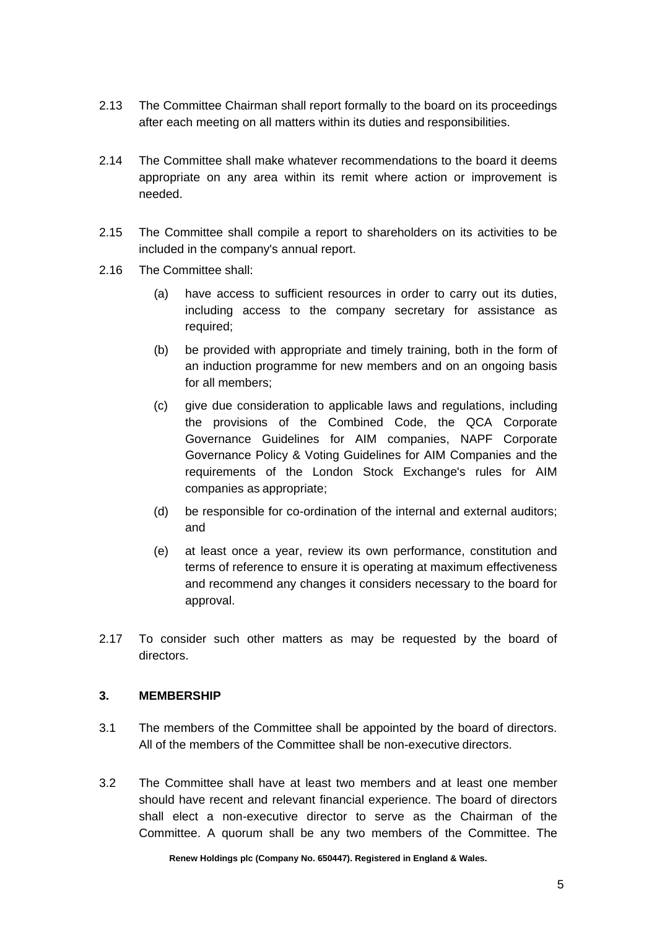- 2.13 The Committee Chairman shall report formally to the board on its proceedings after each meeting on all matters within its duties and responsibilities.
- 2.14 The Committee shall make whatever recommendations to the board it deems appropriate on any area within its remit where action or improvement is needed.
- 2.15 The Committee shall compile a report to shareholders on its activities to be included in the company's annual report.
- 2.16 The Committee shall:
	- (a) have access to sufficient resources in order to carry out its duties, including access to the company secretary for assistance as required;
	- (b) be provided with appropriate and timely training, both in the form of an induction programme for new members and on an ongoing basis for all members;
	- (c) give due consideration to applicable laws and regulations, including the provisions of the Combined Code, the QCA Corporate Governance Guidelines for AIM companies, NAPF Corporate Governance Policy & Voting Guidelines for AIM Companies and the requirements of the London Stock Exchange's rules for AIM companies as appropriate;
	- (d) be responsible for co-ordination of the internal and external auditors; and
	- (e) at least once a year, review its own performance, constitution and terms of reference to ensure it is operating at maximum effectiveness and recommend any changes it considers necessary to the board for approval.
- 2.17 To consider such other matters as may be requested by the board of directors.

#### **3. MEMBERSHIP**

- 3.1 The members of the Committee shall be appointed by the board of directors. All of the members of the Committee shall be non-executive directors.
- 3.2 The Committee shall have at least two members and at least one member should have recent and relevant financial experience. The board of directors shall elect a non-executive director to serve as the Chairman of the Committee. A quorum shall be any two members of the Committee. The

**Renew Holdings plc (Company No. 650447). Registered in England & Wales.**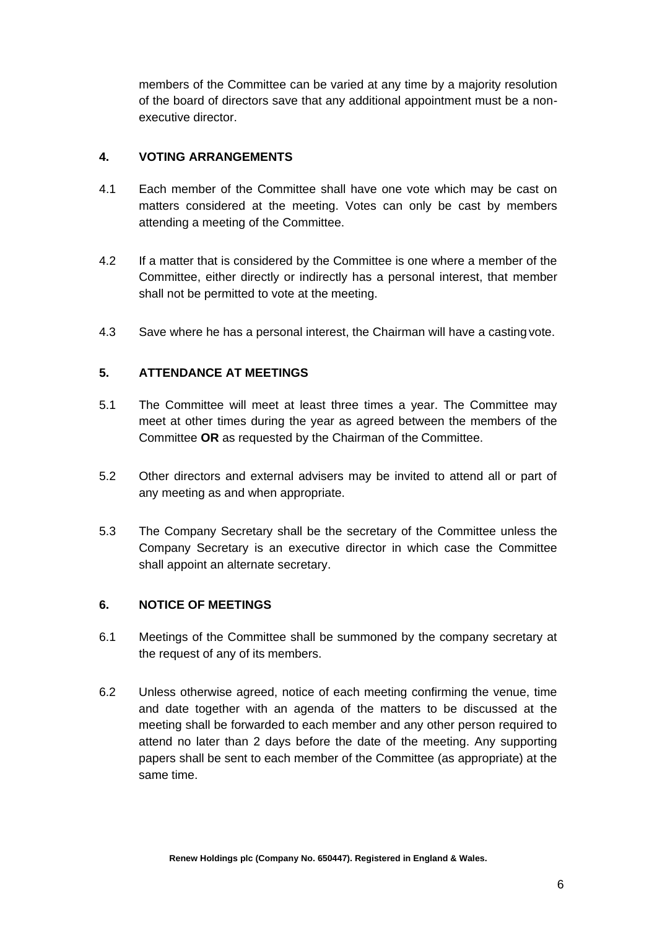members of the Committee can be varied at any time by a majority resolution of the board of directors save that any additional appointment must be a nonexecutive director.

## **4. VOTING ARRANGEMENTS**

- 4.1 Each member of the Committee shall have one vote which may be cast on matters considered at the meeting. Votes can only be cast by members attending a meeting of the Committee.
- 4.2 If a matter that is considered by the Committee is one where a member of the Committee, either directly or indirectly has a personal interest, that member shall not be permitted to vote at the meeting.
- 4.3 Save where he has a personal interest, the Chairman will have a casting vote.

### **5. ATTENDANCE AT MEETINGS**

- 5.1 The Committee will meet at least three times a year. The Committee may meet at other times during the year as agreed between the members of the Committee **OR** as requested by the Chairman of the Committee.
- 5.2 Other directors and external advisers may be invited to attend all or part of any meeting as and when appropriate.
- 5.3 The Company Secretary shall be the secretary of the Committee unless the Company Secretary is an executive director in which case the Committee shall appoint an alternate secretary.

#### **6. NOTICE OF MEETINGS**

- 6.1 Meetings of the Committee shall be summoned by the company secretary at the request of any of its members.
- 6.2 Unless otherwise agreed, notice of each meeting confirming the venue, time and date together with an agenda of the matters to be discussed at the meeting shall be forwarded to each member and any other person required to attend no later than 2 days before the date of the meeting. Any supporting papers shall be sent to each member of the Committee (as appropriate) at the same time.